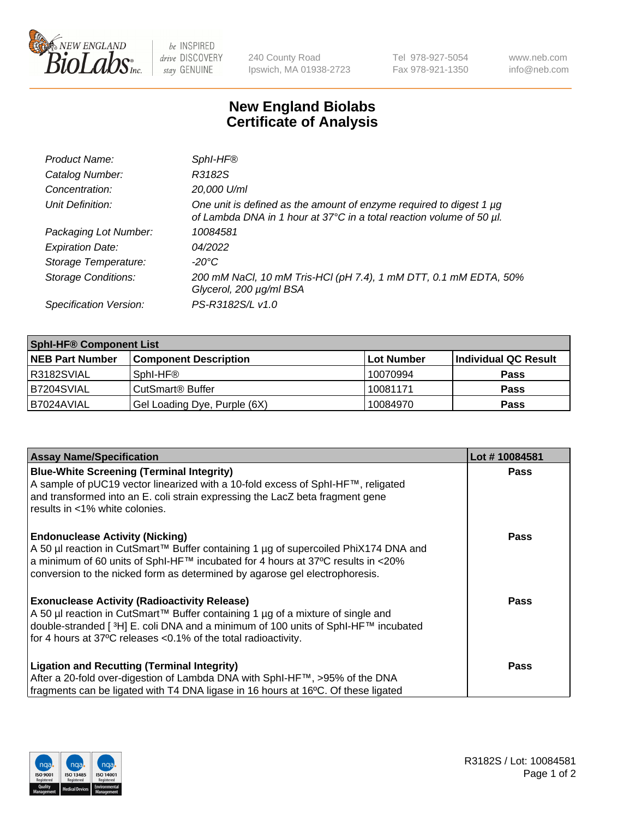

 $be$  INSPIRED drive DISCOVERY stay GENUINE

240 County Road Ipswich, MA 01938-2723 Tel 978-927-5054 Fax 978-921-1350 www.neb.com info@neb.com

## **New England Biolabs Certificate of Analysis**

| Product Name:              | SphI-HF®                                                                                                                                    |
|----------------------------|---------------------------------------------------------------------------------------------------------------------------------------------|
| Catalog Number:            | R3182S                                                                                                                                      |
| Concentration:             | 20,000 U/ml                                                                                                                                 |
| Unit Definition:           | One unit is defined as the amount of enzyme required to digest 1 µg<br>of Lambda DNA in 1 hour at 37°C in a total reaction volume of 50 µl. |
| Packaging Lot Number:      | 10084581                                                                                                                                    |
| <b>Expiration Date:</b>    | 04/2022                                                                                                                                     |
| Storage Temperature:       | $-20^{\circ}$ C                                                                                                                             |
| <b>Storage Conditions:</b> | 200 mM NaCl, 10 mM Tris-HCl (pH 7.4), 1 mM DTT, 0.1 mM EDTA, 50%<br>Glycerol, 200 µg/ml BSA                                                 |
| Specification Version:     | PS-R3182S/L v1.0                                                                                                                            |

| <b>Sphl-HF® Component List</b> |                              |            |                      |  |  |
|--------------------------------|------------------------------|------------|----------------------|--|--|
| <b>NEB Part Number</b>         | <b>Component Description</b> | Lot Number | Individual QC Result |  |  |
| R3182SVIAL                     | Sphl-HF®                     | 10070994   | <b>Pass</b>          |  |  |
| B7204SVIAL                     | CutSmart <sup>®</sup> Buffer | 10081171   | <b>Pass</b>          |  |  |
| IB7024AVIAL                    | Gel Loading Dye, Purple (6X) | 10084970   | <b>Pass</b>          |  |  |

| <b>Assay Name/Specification</b>                                                                                                                                                                                                                                | Lot #10084581 |
|----------------------------------------------------------------------------------------------------------------------------------------------------------------------------------------------------------------------------------------------------------------|---------------|
| <b>Blue-White Screening (Terminal Integrity)</b><br>A sample of pUC19 vector linearized with a 10-fold excess of SphI-HF™, religated                                                                                                                           | <b>Pass</b>   |
| and transformed into an E. coli strain expressing the LacZ beta fragment gene<br>results in <1% white colonies.                                                                                                                                                |               |
| <b>Endonuclease Activity (Nicking)</b>                                                                                                                                                                                                                         | <b>Pass</b>   |
| A 50 µl reaction in CutSmart™ Buffer containing 1 µg of supercoiled PhiX174 DNA and<br>$\alpha$ a minimum of 60 units of SphI-HF™ incubated for 4 hours at 37°C results in <20%<br>conversion to the nicked form as determined by agarose gel electrophoresis. |               |
| <b>Exonuclease Activity (Radioactivity Release)</b>                                                                                                                                                                                                            | Pass          |
| A 50 µl reaction in CutSmart™ Buffer containing 1 µg of a mixture of single and<br>double-stranded [ <sup>3</sup> H] E. coli DNA and a minimum of 100 units of Sphl-HF™ incubated                                                                              |               |
| for 4 hours at 37°C releases <0.1% of the total radioactivity.                                                                                                                                                                                                 |               |
| <b>Ligation and Recutting (Terminal Integrity)</b>                                                                                                                                                                                                             | <b>Pass</b>   |
| After a 20-fold over-digestion of Lambda DNA with SphI-HF™, >95% of the DNA                                                                                                                                                                                    |               |
| fragments can be ligated with T4 DNA ligase in 16 hours at 16°C. Of these ligated                                                                                                                                                                              |               |